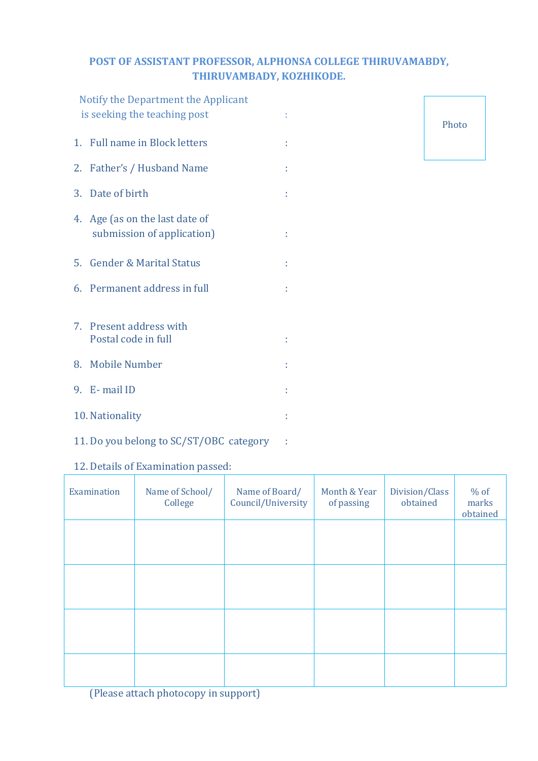## **POST OF ASSISTANT PROFESSOR, ALPHONSA COLLEGE THIRUVAMABDY, THIRUVAMBADY, KOZHIKODE.**

|  | Notify the Department the Applicant<br>is seeking the teaching post |   |  |
|--|---------------------------------------------------------------------|---|--|
|  | 1. Full name in Block letters                                       |   |  |
|  | 2. Father's / Husband Name                                          |   |  |
|  | 3. Date of birth                                                    | t |  |
|  | 4. Age (as on the last date of<br>submission of application)        | t |  |
|  | 5. Gender & Marital Status                                          | t |  |
|  | 6. Permanent address in full                                        |   |  |
|  | 7. Present address with<br>Postal code in full                      | t |  |
|  | 8. Mobile Number                                                    | t |  |
|  | 9. E-mail ID                                                        |   |  |
|  | 10. Nationality                                                     |   |  |

### 12. Details of Examination passed:

11. Do you belong to SC/ST/OBC category :

| Examination | Name of School/<br>College | Name of Board/<br>Council/University | Month & Year<br>of passing | Division/Class<br>obtained | $%$ of<br>marks<br>obtained |
|-------------|----------------------------|--------------------------------------|----------------------------|----------------------------|-----------------------------|
|             |                            |                                      |                            |                            |                             |
|             |                            |                                      |                            |                            |                             |
|             |                            |                                      |                            |                            |                             |
|             |                            |                                      |                            |                            |                             |

(Please attach photocopy in support)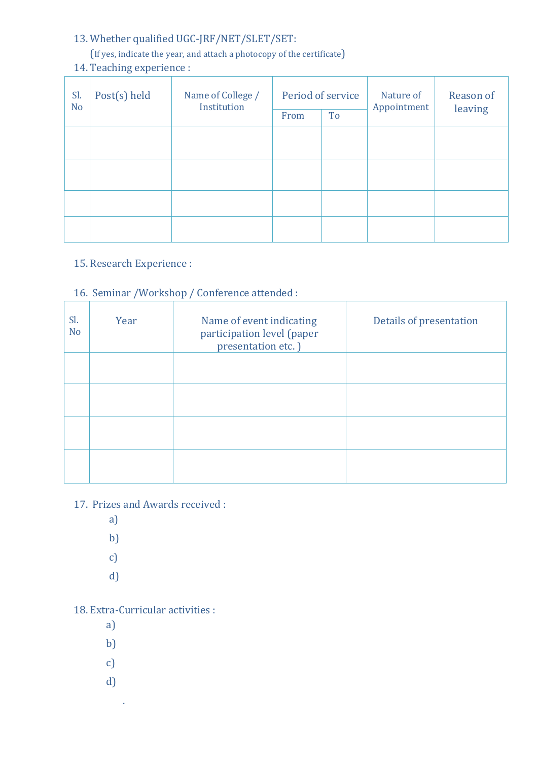# 13. Whether qualified UGC-JRF/NET/SLET/SET:

### (If yes, indicate the year, and attach a photocopy of the certificate)

# 14. Teaching experience :

| Sl.<br>N <sub>o</sub> | Post(s) held | Name of College /<br>Institution | Period of service<br>To<br>From |  | Nature of<br>Appointment | Reason of<br>leaving |
|-----------------------|--------------|----------------------------------|---------------------------------|--|--------------------------|----------------------|
|                       |              |                                  |                                 |  |                          |                      |
|                       |              |                                  |                                 |  |                          |                      |
|                       |              |                                  |                                 |  |                          |                      |
|                       |              |                                  |                                 |  |                          |                      |

# 15. Research Experience :

## 16. Seminar /Workshop / Conference attended :

| Sl.<br>N <sub>o</sub> | Year | Name of event indicating<br>participation level (paper<br>presentation etc.) | Details of presentation |
|-----------------------|------|------------------------------------------------------------------------------|-------------------------|
|                       |      |                                                                              |                         |
|                       |      |                                                                              |                         |
|                       |      |                                                                              |                         |
|                       |      |                                                                              |                         |

## 17. Prizes and Awards received :

- a)
- b)
- c)
- d)

#### 18. Extra-Curricular activities :

- a)
- b)
- c)
- 
- d)

.